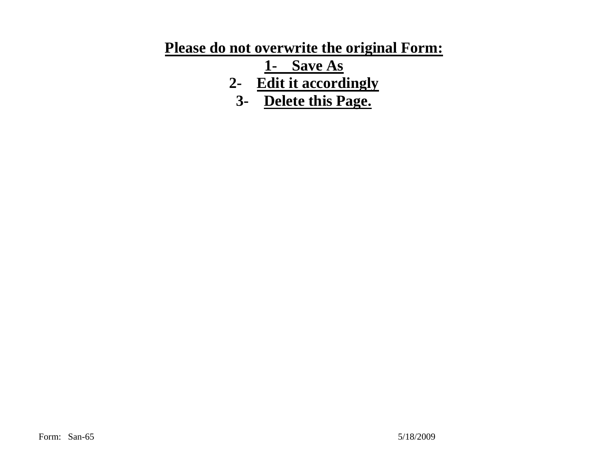## **Please do not overwrite the original Form:**

**1- Save As** 

- **2- Edit it accordingly**
	- **3- Delete this Page.**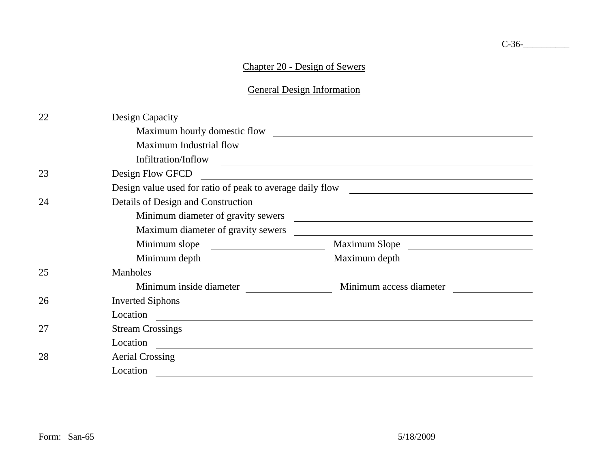## Chapter 20 - Design of Sewers

General Design Information

| 22 | Design Capacity                                           |                                                                         |  |
|----|-----------------------------------------------------------|-------------------------------------------------------------------------|--|
|    | Maximum hourly domestic flow                              |                                                                         |  |
|    | Maximum Industrial flow                                   |                                                                         |  |
|    | Infiltration/Inflow                                       |                                                                         |  |
| 23 | Design Flow GFCD                                          |                                                                         |  |
|    | Design value used for ratio of peak to average daily flow |                                                                         |  |
| 24 | Details of Design and Construction                        |                                                                         |  |
|    | Minimum diameter of gravity sewers                        |                                                                         |  |
|    | Maximum diameter of gravity sewers                        |                                                                         |  |
|    | Minimum slope<br><u> 1980 - Johann Barbara, martin d</u>  | Maximum Slope<br><u> 1989 - Johann Stoff, Amerikaansk konstanting (</u> |  |
|    | Minimum depth                                             | Maximum depth                                                           |  |
| 25 | Manholes                                                  |                                                                         |  |
|    | Minimum inside diameter                                   | Minimum access diameter                                                 |  |
| 26 | <b>Inverted Siphons</b>                                   |                                                                         |  |
|    | Location                                                  |                                                                         |  |
| 27 | <b>Stream Crossings</b>                                   |                                                                         |  |
|    | Location                                                  |                                                                         |  |
| 28 | <b>Aerial Crossing</b>                                    |                                                                         |  |
|    | Location                                                  |                                                                         |  |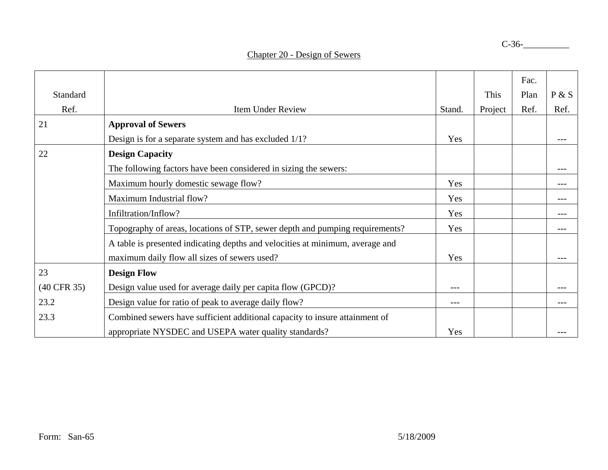|             |                                                                               |        |         | Fac. |         |
|-------------|-------------------------------------------------------------------------------|--------|---------|------|---------|
| Standard    |                                                                               |        | This    | Plan | P & S   |
| Ref.        | <b>Item Under Review</b>                                                      | Stand. | Project | Ref. | Ref.    |
| 21          | <b>Approval of Sewers</b>                                                     |        |         |      |         |
|             | Design is for a separate system and has excluded 1/1?                         | Yes    |         |      | $- - -$ |
| 22          | <b>Design Capacity</b>                                                        |        |         |      |         |
|             | The following factors have been considered in sizing the sewers:              |        |         |      | ---     |
|             | Maximum hourly domestic sewage flow?                                          | Yes    |         |      | ---     |
|             | Maximum Industrial flow?                                                      | Yes    |         |      | $---$   |
|             | Infiltration/Inflow?                                                          | Yes    |         |      | $---$   |
|             | Topography of areas, locations of STP, sewer depth and pumping requirements?  | Yes    |         |      | ---     |
|             | A table is presented indicating depths and velocities at minimum, average and |        |         |      |         |
|             | maximum daily flow all sizes of sewers used?                                  | Yes    |         |      |         |
| 23          | <b>Design Flow</b>                                                            |        |         |      |         |
| (40 CFR 35) | Design value used for average daily per capita flow (GPCD)?                   | $---$  |         |      |         |
| 23.2        | Design value for ratio of peak to average daily flow?                         | $---$  |         |      | $---$   |
| 23.3        | Combined sewers have sufficient additional capacity to insure attainment of   |        |         |      |         |
|             | appropriate NYSDEC and USEPA water quality standards?                         | Yes    |         |      |         |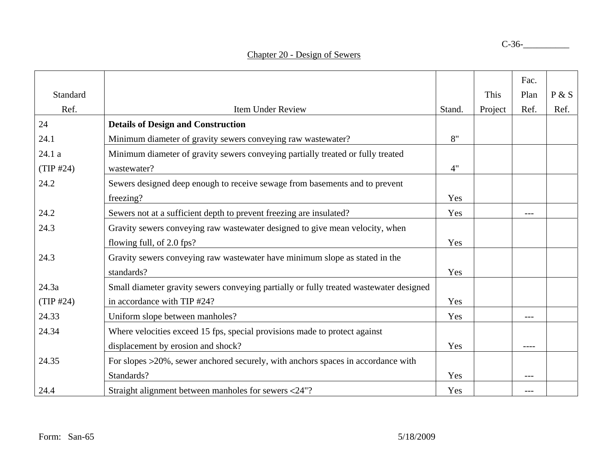|           |                                                                                        |        |         | Fac.  |       |
|-----------|----------------------------------------------------------------------------------------|--------|---------|-------|-------|
| Standard  |                                                                                        |        | This    | Plan  | P & S |
| Ref.      | <b>Item Under Review</b>                                                               | Stand. | Project | Ref.  | Ref.  |
| 24        | <b>Details of Design and Construction</b>                                              |        |         |       |       |
| 24.1      | Minimum diameter of gravity sewers conveying raw wastewater?                           | 8"     |         |       |       |
| 24.1 a    | Minimum diameter of gravity sewers conveying partially treated or fully treated        |        |         |       |       |
| (TIP #24) | wastewater?                                                                            | 4"     |         |       |       |
| 24.2      | Sewers designed deep enough to receive sewage from basements and to prevent            |        |         |       |       |
|           | freezing?                                                                              | Yes    |         |       |       |
| 24.2      | Sewers not at a sufficient depth to prevent freezing are insulated?                    | Yes    |         |       |       |
| 24.3      | Gravity sewers conveying raw wastewater designed to give mean velocity, when           |        |         |       |       |
|           | flowing full, of 2.0 fps?                                                              | Yes    |         |       |       |
| 24.3      | Gravity sewers conveying raw wastewater have minimum slope as stated in the            |        |         |       |       |
|           | standards?                                                                             | Yes    |         |       |       |
| 24.3a     | Small diameter gravity sewers conveying partially or fully treated wastewater designed |        |         |       |       |
| (TIP #24) | in accordance with TIP #24?                                                            | Yes    |         |       |       |
| 24.33     | Uniform slope between manholes?                                                        | Yes    |         |       |       |
| 24.34     | Where velocities exceed 15 fps, special provisions made to protect against             |        |         |       |       |
|           | displacement by erosion and shock?                                                     | Yes    |         |       |       |
| 24.35     | For slopes >20%, sewer anchored securely, with anchors spaces in accordance with       |        |         |       |       |
|           | Standards?                                                                             | Yes    |         | $---$ |       |
| 24.4      | Straight alignment between manholes for sewers <24"?                                   | Yes    |         |       |       |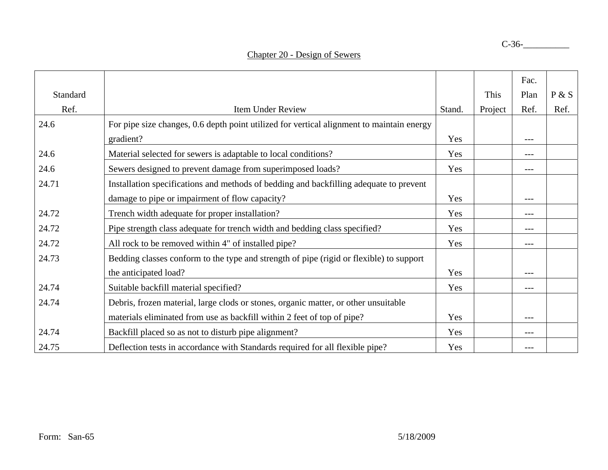|          |                                                                                           |        |         | Fac.  |       |
|----------|-------------------------------------------------------------------------------------------|--------|---------|-------|-------|
| Standard |                                                                                           |        | This    | Plan  | P & S |
| Ref.     | <b>Item Under Review</b>                                                                  | Stand. | Project | Ref.  | Ref.  |
| 24.6     | For pipe size changes, 0.6 depth point utilized for vertical alignment to maintain energy |        |         |       |       |
|          | gradient?                                                                                 | Yes    |         | $---$ |       |
| 24.6     | Material selected for sewers is adaptable to local conditions?                            | Yes    |         | $---$ |       |
| 24.6     | Sewers designed to prevent damage from superimposed loads?                                | Yes    |         | $---$ |       |
| 24.71    | Installation specifications and methods of bedding and backfilling adequate to prevent    |        |         |       |       |
|          | damage to pipe or impairment of flow capacity?                                            | Yes    |         | ---   |       |
| 24.72    | Trench width adequate for proper installation?                                            | Yes    |         | ---   |       |
| 24.72    | Pipe strength class adequate for trench width and bedding class specified?                | Yes    |         | ---   |       |
| 24.72    | All rock to be removed within 4" of installed pipe?                                       | Yes    |         |       |       |
| 24.73    | Bedding classes conform to the type and strength of pipe (rigid or flexible) to support   |        |         |       |       |
|          | the anticipated load?                                                                     | Yes    |         | $---$ |       |
| 24.74    | Suitable backfill material specified?                                                     | Yes    |         | ---   |       |
| 24.74    | Debris, frozen material, large clods or stones, organic matter, or other unsuitable       |        |         |       |       |
|          | materials eliminated from use as backfill within 2 feet of top of pipe?                   | Yes    |         | ---   |       |
| 24.74    | Backfill placed so as not to disturb pipe alignment?                                      | Yes    |         | ---   |       |
| 24.75    | Deflection tests in accordance with Standards required for all flexible pipe?             | Yes    |         | ---   |       |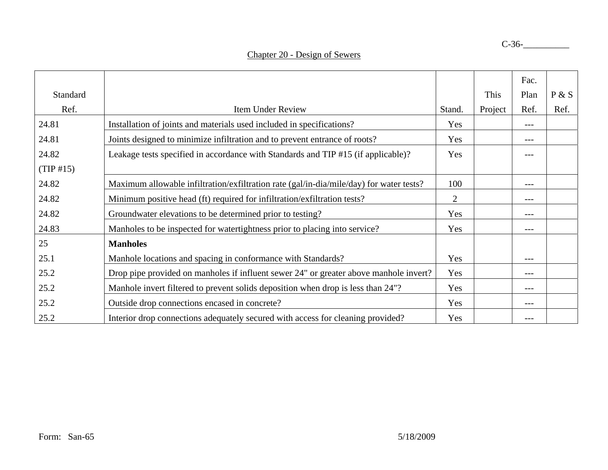|           |                                                                                         |                |         | Fac.  |       |
|-----------|-----------------------------------------------------------------------------------------|----------------|---------|-------|-------|
| Standard  |                                                                                         |                | This    | Plan  | P & S |
| Ref.      | Item Under Review                                                                       | Stand.         | Project | Ref.  | Ref.  |
| 24.81     | Installation of joints and materials used included in specifications?                   | Yes            |         | $---$ |       |
| 24.81     | Joints designed to minimize infiltration and to prevent entrance of roots?              | Yes            |         | ---   |       |
| 24.82     | Leakage tests specified in accordance with Standards and TIP #15 (if applicable)?       | Yes            |         |       |       |
| (TIP #15) |                                                                                         |                |         |       |       |
| 24.82     | Maximum allowable infiltration/exfiltration rate (gal/in-dia/mile/day) for water tests? | 100            |         | ---   |       |
| 24.82     | Minimum positive head (ft) required for infiltration/exfiltration tests?                | $\overline{2}$ |         | ---   |       |
| 24.82     | Groundwater elevations to be determined prior to testing?                               | Yes            |         | ---   |       |
| 24.83     | Manholes to be inspected for watertightness prior to placing into service?              | Yes            |         | $---$ |       |
| 25        | <b>Manholes</b>                                                                         |                |         |       |       |
| 25.1      | Manhole locations and spacing in conformance with Standards?                            | Yes            |         | ---   |       |
| 25.2      | Drop pipe provided on manholes if influent sewer 24" or greater above manhole invert?   | Yes            |         | $---$ |       |
| 25.2      | Manhole invert filtered to prevent solids deposition when drop is less than 24"?        | Yes            |         | $---$ |       |
| 25.2      | Outside drop connections encased in concrete?                                           | Yes            |         | ---   |       |
| 25.2      | Interior drop connections adequately secured with access for cleaning provided?         | Yes            |         | ---   |       |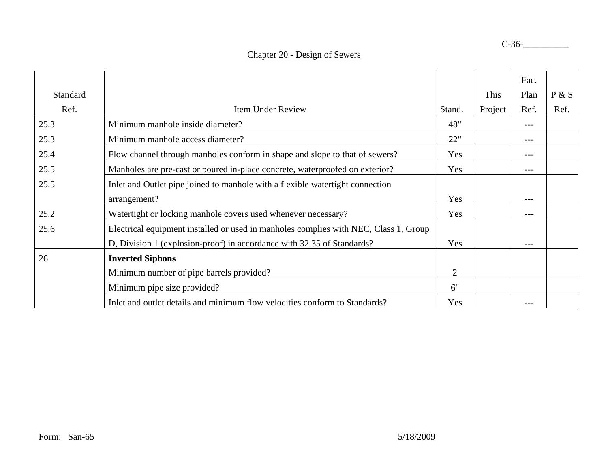|          |                                                                                      |        |         | Fac.  |       |
|----------|--------------------------------------------------------------------------------------|--------|---------|-------|-------|
| Standard |                                                                                      |        | This    | Plan  | P & S |
| Ref.     | <b>Item Under Review</b>                                                             | Stand. | Project | Ref.  | Ref.  |
| 25.3     | Minimum manhole inside diameter?                                                     | 48"    |         | ---   |       |
| 25.3     | Minimum manhole access diameter?                                                     | 22"    |         | $---$ |       |
| 25.4     | Flow channel through manholes conform in shape and slope to that of sewers?          | Yes    |         | $---$ |       |
| 25.5     | Manholes are pre-cast or poured in-place concrete, waterproofed on exterior?         | Yes    |         | $---$ |       |
| 25.5     | Inlet and Outlet pipe joined to manhole with a flexible watertight connection        |        |         |       |       |
|          | arrangement?                                                                         | Yes    |         | $---$ |       |
| 25.2     | Watertight or locking manhole covers used whenever necessary?                        | Yes    |         | $---$ |       |
| 25.6     | Electrical equipment installed or used in manholes complies with NEC, Class 1, Group |        |         |       |       |
|          | D, Division 1 (explosion-proof) in accordance with 32.35 of Standards?               | Yes    |         | $---$ |       |
| 26       | <b>Inverted Siphons</b>                                                              |        |         |       |       |
|          | Minimum number of pipe barrels provided?                                             | 2      |         |       |       |
|          | Minimum pipe size provided?                                                          | 6"     |         |       |       |
|          | Inlet and outlet details and minimum flow velocities conform to Standards?           | Yes    |         | $---$ |       |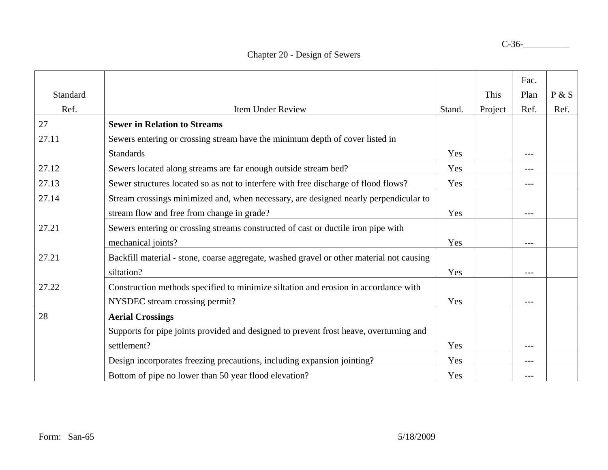|          |                                                                                          |        |         | Fac. |       |
|----------|------------------------------------------------------------------------------------------|--------|---------|------|-------|
| Standard |                                                                                          |        | This    | Plan | P & S |
| Ref.     | <b>Item Under Review</b>                                                                 | Stand. | Project | Ref. | Ref.  |
| 27       | <b>Sewer in Relation to Streams</b>                                                      |        |         |      |       |
| 27.11    | Sewers entering or crossing stream have the minimum depth of cover listed in             |        |         |      |       |
|          | <b>Standards</b>                                                                         | Yes    |         | ---  |       |
| 27.12    | Sewers located along streams are far enough outside stream bed?                          | Yes    |         |      |       |
| 27.13    | Sewer structures located so as not to interfere with free discharge of flood flows?      | Yes    |         | ---  |       |
| 27.14    | Stream crossings minimized and, when necessary, are designed nearly perpendicular to     |        |         |      |       |
|          | stream flow and free from change in grade?                                               | Yes    |         | ---  |       |
| 27.21    | Sewers entering or crossing streams constructed of cast or ductile iron pipe with        |        |         |      |       |
|          | mechanical joints?                                                                       | Yes    |         |      |       |
| 27.21    | Backfill material - stone, coarse aggregate, washed gravel or other material not causing |        |         |      |       |
|          | siltation?                                                                               | Yes    |         | ---  |       |
| 27.22    | Construction methods specified to minimize siltation and erosion in accordance with      |        |         |      |       |
|          | NYSDEC stream crossing permit?                                                           | Yes    |         |      |       |
| 28       | <b>Aerial Crossings</b>                                                                  |        |         |      |       |
|          | Supports for pipe joints provided and designed to prevent frost heave, overturning and   |        |         |      |       |
|          | settlement?                                                                              | Yes    |         |      |       |
|          | Design incorporates freezing precautions, including expansion jointing?                  | Yes    |         | ---  |       |
|          | Bottom of pipe no lower than 50 year flood elevation?                                    | Yes    |         |      |       |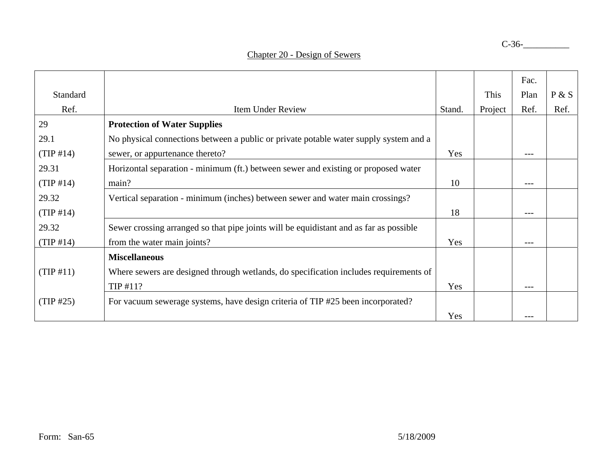|           |                                                                                        |        |         | Fac.    |       |
|-----------|----------------------------------------------------------------------------------------|--------|---------|---------|-------|
| Standard  |                                                                                        |        | This    | Plan    | P & S |
| Ref.      | Item Under Review                                                                      | Stand. | Project | Ref.    | Ref.  |
| 29        | <b>Protection of Water Supplies</b>                                                    |        |         |         |       |
| 29.1      | No physical connections between a public or private potable water supply system and a  |        |         |         |       |
| (TIP #14) | sewer, or appurtenance thereto?                                                        | Yes    |         |         |       |
| 29.31     | Horizontal separation - minimum (ft.) between sewer and existing or proposed water     |        |         |         |       |
| (TIP #14) | main?                                                                                  | 10     |         | $---$   |       |
| 29.32     | Vertical separation - minimum (inches) between sewer and water main crossings?         |        |         |         |       |
| (TIP #14) |                                                                                        | 18     |         | $- - -$ |       |
| 29.32     | Sewer crossing arranged so that pipe joints will be equidistant and as far as possible |        |         |         |       |
| (TIP #14) | from the water main joints?                                                            | Yes    |         | $---$   |       |
|           | <b>Miscellaneous</b>                                                                   |        |         |         |       |
| (TIP #11) | Where sewers are designed through wetlands, do specification includes requirements of  |        |         |         |       |
|           | TIP #11?                                                                               | Yes    |         | $---$   |       |
| (TIP #25) | For vacuum sewerage systems, have design criteria of TIP #25 been incorporated?        |        |         |         |       |
|           |                                                                                        | Yes    |         |         |       |